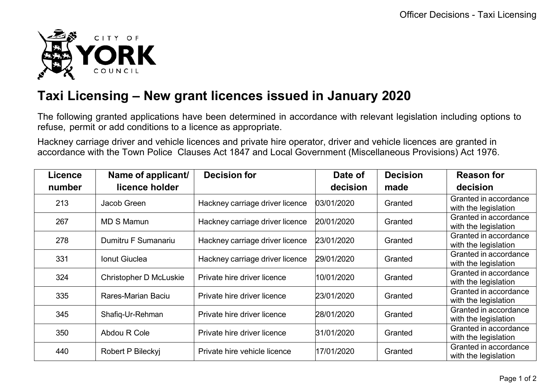

## **Taxi Licensing – New grant licences issued in January 2020**

The following granted applications have been determined in accordance with relevant legislation including options to refuse, permit or add conditions to a licence as appropriate.

Hackney carriage driver and vehicle licences and private hire operator, driver and vehicle licences are granted in accordance with the Town Police Clauses Act 1847 and Local Government (Miscellaneous Provisions) Act 1976.

| <b>Licence</b> | Name of applicant/            | <b>Decision for</b>             | Date of    | <b>Decision</b> | <b>Reason for</b>                             |
|----------------|-------------------------------|---------------------------------|------------|-----------------|-----------------------------------------------|
| number         | licence holder                |                                 | decision   | made            | decision                                      |
| 213            | Jacob Green                   | Hackney carriage driver licence | 03/01/2020 | Granted         | Granted in accordance<br>with the legislation |
| 267            | <b>MD S Mamun</b>             | Hackney carriage driver licence | 20/01/2020 | Granted         | Granted in accordance<br>with the legislation |
| 278            | Dumitru F Sumanariu           | Hackney carriage driver licence | 23/01/2020 | Granted         | Granted in accordance<br>with the legislation |
| 331            | <b>Ionut Giuclea</b>          | Hackney carriage driver licence | 29/01/2020 | Granted         | Granted in accordance<br>with the legislation |
| 324            | <b>Christopher D McLuskie</b> | Private hire driver licence     | 10/01/2020 | Granted         | Granted in accordance<br>with the legislation |
| 335            | <b>Rares-Marian Baciu</b>     | Private hire driver licence     | 23/01/2020 | Granted         | Granted in accordance<br>with the legislation |
| 345            | Shafiq-Ur-Rehman              | Private hire driver licence     | 28/01/2020 | Granted         | Granted in accordance<br>with the legislation |
| 350            | Abdou R Cole                  | Private hire driver licence     | 31/01/2020 | Granted         | Granted in accordance<br>with the legislation |
| 440            | Robert P Bileckyj             | Private hire vehicle licence    | 17/01/2020 | Granted         | Granted in accordance<br>with the legislation |